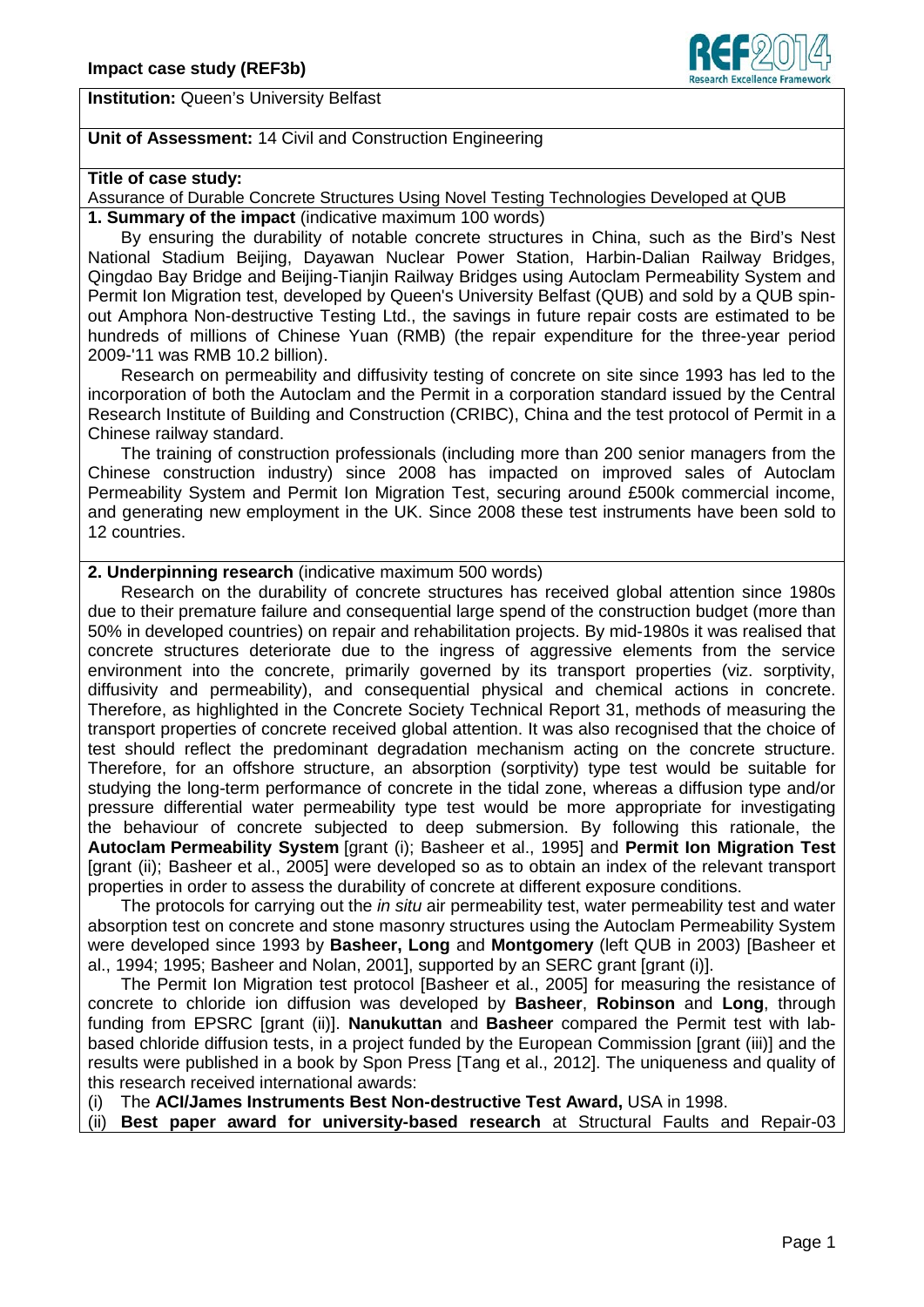

**Institution:** Queen's University Belfast

# **Unit of Assessment:** 14 Civil and Construction Engineering

#### **Title of case study:**

Assurance of Durable Concrete Structures Using Novel Testing Technologies Developed at QUB **1. Summary of the impact** (indicative maximum 100 words)

By ensuring the durability of notable concrete structures in China, such as the Bird's Nest National Stadium Beijing, Dayawan Nuclear Power Station, Harbin-Dalian Railway Bridges, Qingdao Bay Bridge and Beijing-Tianjin Railway Bridges using Autoclam Permeability System and Permit Ion Migration test, developed by Queen's University Belfast (QUB) and sold by a QUB spinout Amphora Non-destructive Testing Ltd., the savings in future repair costs are estimated to be hundreds of millions of Chinese Yuan (RMB) (the repair expenditure for the three-year period 2009-'11 was RMB 10.2 billion).

Research on permeability and diffusivity testing of concrete on site since 1993 has led to the incorporation of both the Autoclam and the Permit in a corporation standard issued by the Central Research Institute of Building and Construction (CRIBC), China and the test protocol of Permit in a Chinese railway standard.

The training of construction professionals (including more than 200 senior managers from the Chinese construction industry) since 2008 has impacted on improved sales of Autoclam Permeability System and Permit Ion Migration Test, securing around £500k commercial income, and generating new employment in the UK. Since 2008 these test instruments have been sold to 12 countries.

## **2. Underpinning research** (indicative maximum 500 words)

Research on the durability of concrete structures has received global attention since 1980s due to their premature failure and consequential large spend of the construction budget (more than 50% in developed countries) on repair and rehabilitation projects. By mid-1980s it was realised that concrete structures deteriorate due to the ingress of aggressive elements from the service environment into the concrete, primarily governed by its transport properties (viz. sorptivity, diffusivity and permeability), and consequential physical and chemical actions in concrete. Therefore, as highlighted in the Concrete Society Technical Report 3[1,](#page-0-0) methods of measuring the transport properties of concrete received global attention. It was also recognised that the choice of test should reflect the predominant degradation mechanism acting on the concrete structure. Therefore, for an offshore structure, an absorption (sorptivity) type test would be suitable for studying the long-term performance of concrete in the tidal zone, whereas a diffusion type and/or pressure differential water permeability type test would be more appropriate for investigating the behaviour of concrete subjected to deep su[bm](#page-0-1)ersion. By following this rationale, the **Autoclam Permeability System** [grant (i); Basheer et al., 1995] and **Permit Ion Migration Test** [grant (ii); Basheer et al., 2005] were developed so as to obtain an index of the relevant transport properties in order to assess the durability of concrete at different exposure conditions.

The protocols for carrying out the *in situ* air permeability test, water permeability test and water absorption test on concrete and stone masonry structures using the Autoclam Permeability System were developed since 1993 by **Basheer, Long** and **Montgomery** (left QUB in 2003) [Basheer et al., 1994; 1995; Basheer and Nolan, 2001], supported by an SERC grant [grant (i)].

The Permit Ion Migration test protocol [Basheer et al., 2005] for measuring the resistance of concrete to chloride ion diffusion was developed by **Basheer**, **Robinson** and **Long**, through funding from EPSRC [grant (ii)]. **Nanukuttan** and **Basheer** compared the Permit test with labbased chloride diffusion tests, in a project funded by the European Commission [grant (iii)] and the results were published in a book by Spon Press [Tang et al., 2012]. The uniqueness and quality of this research received international awards:

(i) The **ACI/James Instruments Best Non-destructive Test Award,** USA in 1998.

<span id="page-0-1"></span><span id="page-0-0"></span>(ii) **Best paper award for university-based research** at Structural Faults and Repair-03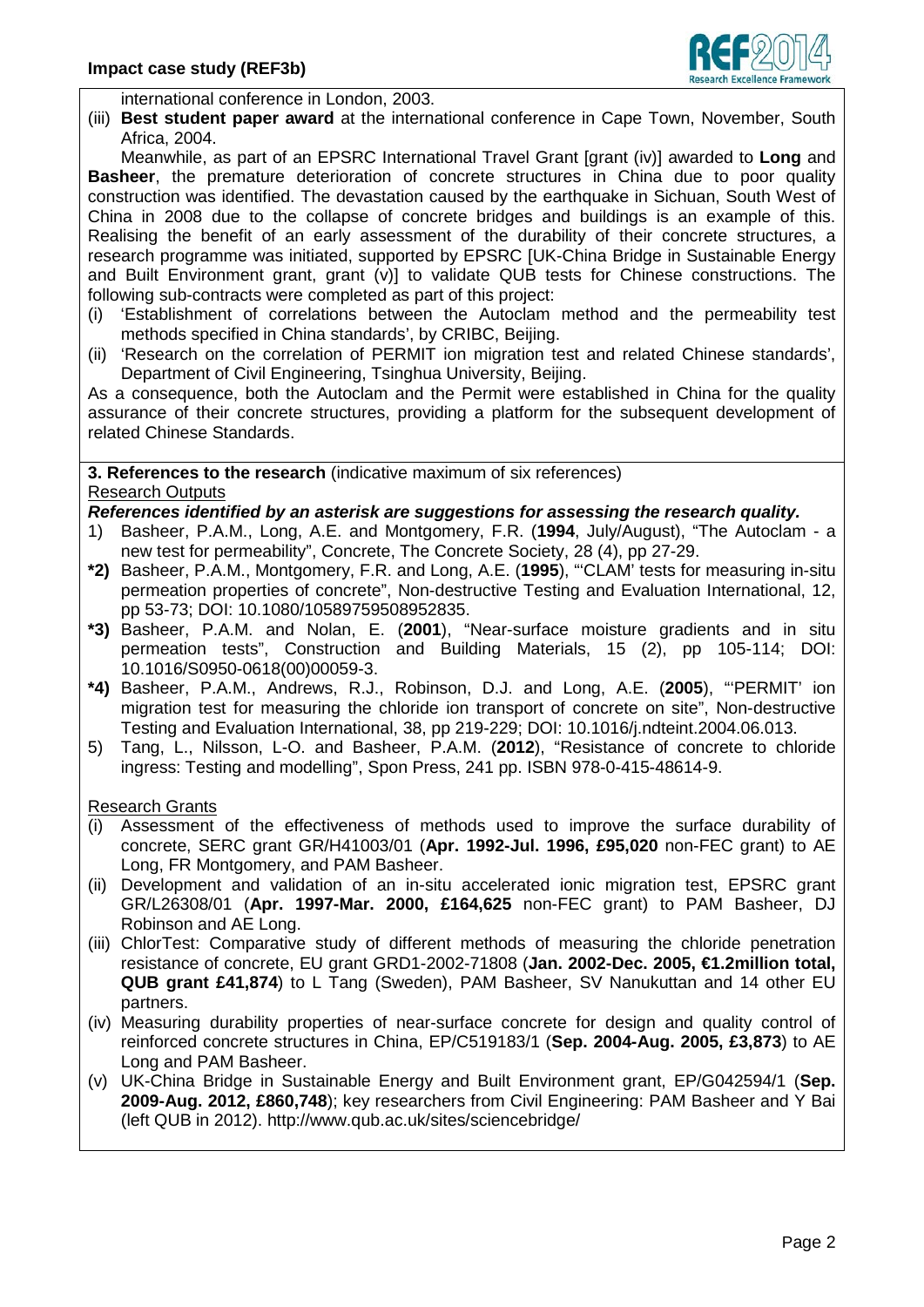

international conference in London, 2003.

(iii) **Best student paper award** at the international conference in Cape Town, November, South Africa, 2004.

Meanwhile, as part of an EPSRC International Travel Grant [grant (iv)] awarded to **Long** and **Basheer**, the premature deterioration of concrete structures in China due to poor quality construction was identified. The devastation caused by the earthquake in Sichuan, South West of China in 2008 due to the collapse of concrete bridges and buildings is an example of this. Realising the benefit of an early assessment of the durability of their concrete structures, a research programme was initiated, supported by EPSRC [UK-China Bridge in Sustainable Energy and Built Environment grant, grant (v)] to validate QUB tests for Chinese constructions. The following sub-contracts were completed as part of this project:

- (i) 'Establishment of correlations between the Autoclam method and the permeability test methods specified in China standards', by CRIBC, Beijing.
- (ii) 'Research on the correlation of PERMIT ion migration test and related Chinese standards', Department of Civil Engineering, Tsinghua University, Beijing.

As a consequence, both the Autoclam and the Permit were established in China for the quality assurance of their concrete structures, providing a platform for the subsequent development of related Chinese Standards.

**3. References to the research** (indicative maximum of six references) Research Outputs

# *References identified by an asterisk are suggestions for assessing the research quality.*

- 1) Basheer, P.A.M., Long, A.E. and Montgomery, F.R. (**1994**, July/August), "The Autoclam a new test for permeability", Concrete, The Concrete Society, 28 (4), pp 27-29.
- **\*2)** Basheer, P.A.M., Montgomery, F.R. and Long, A.E. (**1995**), "'CLAM' tests for measuring in-situ permeation properties of concrete", Non-destructive Testing and Evaluation International, 12, pp 53-73; DOI: 10.1080/10589759508952835.
- **\*3)** Basheer, P.A.M. and Nolan, E. (**2001**), "Near-surface moisture gradients and in situ permeation tests", Construction and Building Materials, 15 (2), pp 105-114; DOI: 10.1016/S0950-0618(00)00059-3.
- **\*4)** Basheer, P.A.M., Andrews, R.J., Robinson, D.J. and Long, A.E. (**2005**), "'PERMIT' ion migration test for measuring the chloride ion transport of concrete on site", Non-destructive Testing and Evaluation International, 38, pp 219-229; DOI: 10.1016/j.ndteint.2004.06.013.
- 5) Tang, L., Nilsson, L-O. and Basheer, P.A.M. (**2012**), "Resistance of concrete to chloride ingress: Testing and modelling", Spon Press, 241 pp. ISBN 978-0-415-48614-9.

# Research Grants

- (i) Assessment of the effectiveness of methods used to improve the surface durability of concrete, SERC grant GR/H41003/01 (**Apr. 1992-Jul. 1996, £95,020** non-FEC grant) to AE Long, FR Montgomery, and PAM Basheer.
- (ii) Development and validation of an in-situ accelerated ionic migration test, EPSRC grant GR/L26308/01 (**Apr. 1997-Mar. 2000, £164,625** non-FEC grant) to PAM Basheer, DJ Robinson and AE Long.
- (iii) ChlorTest: Comparative study of different methods of measuring the chloride penetration resistance of concrete, EU grant GRD1-2002-71808 (**Jan. 2002-Dec. 2005, €1.2million total, QUB grant £41,874**) to L Tang (Sweden), PAM Basheer, SV Nanukuttan and 14 other EU partners.
- (iv) Measuring durability properties of near-surface concrete for design and quality control of reinforced concrete structures in China, EP/C519183/1 (**Sep. 2004-Aug. 2005, £3,873**) to AE Long and PAM Basheer.
- (v) UK-China Bridge in Sustainable Energy and Built Environment grant, EP/G042594/1 (**Sep. 2009-Aug. 2012, £860,748**); key researchers from Civil Engineering: PAM Basheer and Y Bai (left QUB in 2012). http://www.qub.ac.uk/sites/sciencebridge/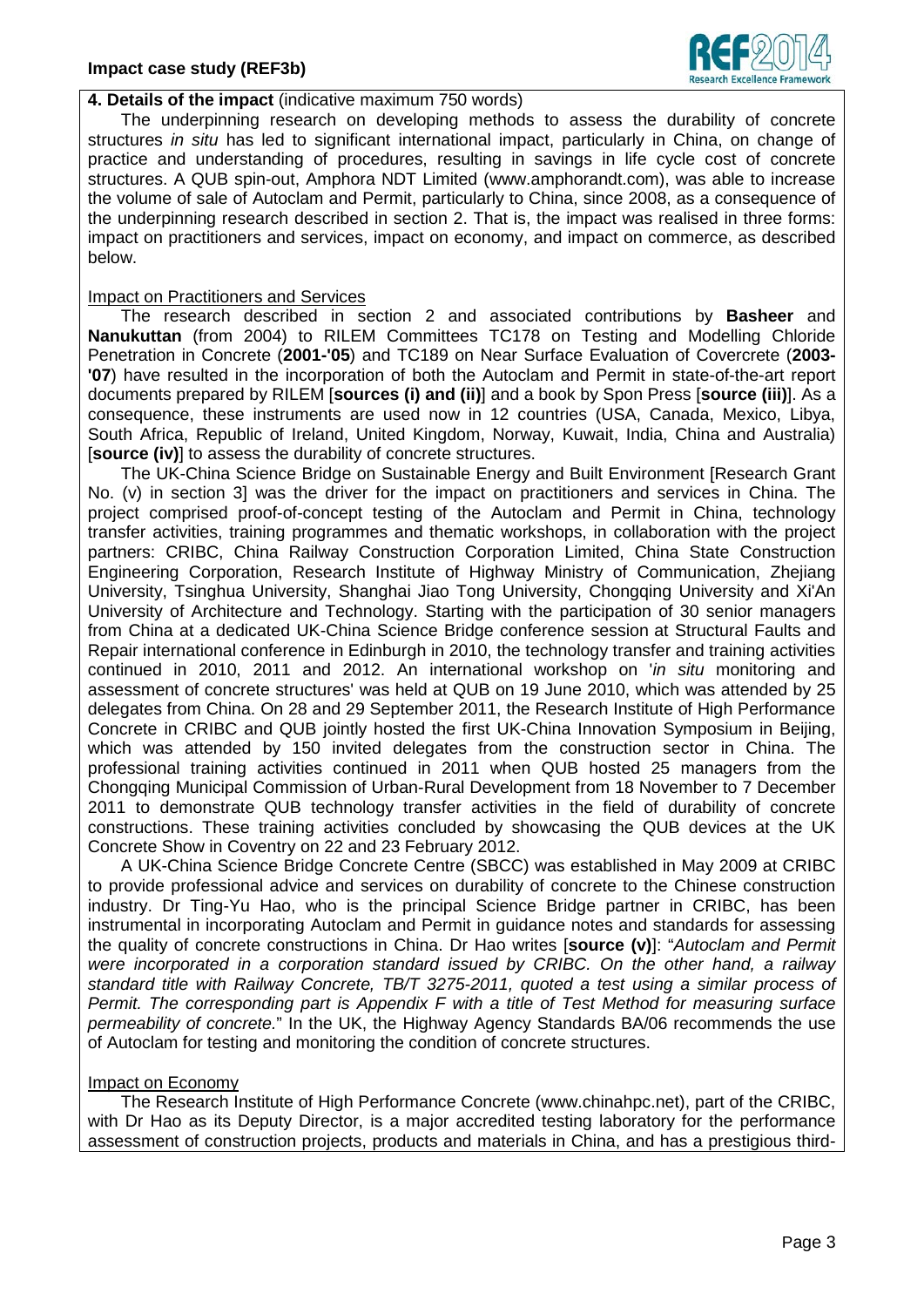

## **4. Details of the impact** (indicative maximum 750 words)

The underpinning research on developing methods to assess the durability of concrete structures *in situ* has led to significant international impact, particularly in China, on change of practice and understanding of procedures, resulting in savings in life cycle cost of concrete structures. A QUB spin-out, Amphora NDT Limited (www.amphorandt.com), was able to increase the volume of sale of Autoclam and Permit, particularly to China, since 2008, as a consequence of the underpinning research described in section 2. That is, the impact was realised in three forms: impact on practitioners and services, impact on economy, and impact on commerce, as described below.

## Impact on Practitioners and Services

The research described in section 2 and associated contributions by **Basheer** and **Nanukuttan** (from 2004) to RILEM Committees TC178 on Testing and Modelling Chloride Penetration in Concrete (**2001-'05**) and TC189 on Near Surface Evaluation of Covercrete (**2003- '07**) have resulted in the incorporation of both the Autoclam and Permit in state-of-the-art report documents prepared by RILEM [**sources (i) and (ii)**] and a book by Spon Press [**source (iii)**]. As a consequence, these instruments are used now in 12 countries (USA, Canada, Mexico, Libya, South Africa, Republic of Ireland, United Kingdom, Norway, Kuwait, India, China and Australia) [**source (iv)**] to assess the durability of concrete structures.

The UK-China Science Bridge on Sustainable Energy and Built Environment [Research Grant No. (v) in section 3] was the driver for the impact on practitioners and services in China. The project comprised proof-of-concept testing of the Autoclam and Permit in China, technology transfer activities, training programmes and thematic workshops, in collaboration with the project partners: CRIBC, China Railway Construction Corporation Limited, China State Construction Engineering Corporation, Research Institute of Highway Ministry of Communication, Zhejiang University, Tsinghua University, Shanghai Jiao Tong University, Chongqing University and Xi'An University of Architecture and Technology. Starting with the participation of 30 senior managers from China at a dedicated UK-China Science Bridge conference sessio[n](#page-2-0) at Structural Faults and Repair international conference in Edinburgh in 2010, the technology transfer and training activities continued in 2010, 2011 and 2012. An international workshop on '*in situ* monitoring and assessment of concrete structures' was held at QUB on 19 June 2010, which was attended by 25 delegates from China. On 28 and 29 September 2011, the Research Institute of High Performance Concrete in CRIBC and QUB jointly hosted the first UK-China Innovation Symposium in Beijing, which was attended by 150 invited delegates from the construction sector in China. The professional training activities continued in 2011 when QUB hosted 25 managers from the Chongqing Municipal Commission of Urban-Rural Development from 18 November to 7 December 2011 to demonstrate QUB technology transfer activities in the field of durability of concrete constructions. These training activities concluded by showcasing the QUB devices at the UK Concrete Show in Coventry on 22 and 23 February 2012.

A UK-China Science Bridge Concrete Centre (SBCC) was established in May 2009 at CRIBC to provide professional advice and services on durability of concrete to the Chinese construction industry. Dr Ting-Yu Hao, who is the principal Science Bridge partner in CRIBC, has been instrumental in incorporating Autoclam and Permit in guidance notes and standards for assessing the quality of concrete constructions in China. Dr Hao writes [**source (v)**]: "*Autoclam and Permit were incorporated in a corporation standard issued by CRIBC. On the other hand, a railway standard title with Railway Concrete, TB/T 3275-2011, quoted a test using a similar process of Permit. The corresponding part is Appendix F with a title of Test Method for measuring surface permeability of concrete.*" In the UK, the Highway Agency Standards BA/06 recommends the use of Autoclam for testing and monitoring the condition of concrete structures.

# Impact on Economy

<span id="page-2-0"></span>The Research Institute of High Performance Concrete (www.chinahpc.net), part of the CRIBC, with Dr Hao as its Deputy Director, is a major accredited testing laboratory for the performance assessment of construction projects, products and materials in China, and has a prestigious third-